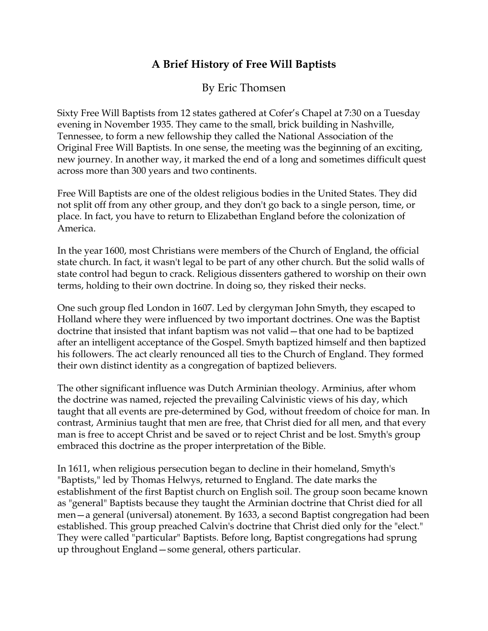## **A Brief History of Free Will Baptists**

By Eric Thomsen

Sixty Free Will Baptists from 12 states gathered at Cofer's Chapel at 7:30 on a Tuesday evening in November 1935. They came to the small, brick building in Nashville, Tennessee, to form a new fellowship they called the National Association of the Original Free Will Baptists. In one sense, the meeting was the beginning of an exciting, new journey. In another way, it marked the end of a long and sometimes difficult quest across more than 300 years and two continents.

Free Will Baptists are one of the oldest religious bodies in the United States. They did not split off from any other group, and they don't go back to a single person, time, or place. In fact, you have to return to Elizabethan England before the colonization of America.

In the year 1600, most Christians were members of the Church of England, the official state church. In fact, it wasn't legal to be part of any other church. But the solid walls of state control had begun to crack. Religious dissenters gathered to worship on their own terms, holding to their own doctrine. In doing so, they risked their necks.

One such group fled London in 1607. Led by clergyman John Smyth, they escaped to Holland where they were influenced by two important doctrines. One was the Baptist doctrine that insisted that infant baptism was not valid—that one had to be baptized after an intelligent acceptance of the Gospel. Smyth baptized himself and then baptized his followers. The act clearly renounced all ties to the Church of England. They formed their own distinct identity as a congregation of baptized believers.

The other significant influence was Dutch Arminian theology. Arminius, after whom the doctrine was named, rejected the prevailing Calvinistic views of his day, which taught that all events are pre-determined by God, without freedom of choice for man. In contrast, Arminius taught that men are free, that Christ died for all men, and that every man is free to accept Christ and be saved or to reject Christ and be lost. Smyth's group embraced this doctrine as the proper interpretation of the Bible.

In 1611, when religious persecution began to decline in their homeland, Smyth's "Baptists," led by Thomas Helwys, returned to England. The date marks the establishment of the first Baptist church on English soil. The group soon became known as "general" Baptists because they taught the Arminian doctrine that Christ died for all men—a general (universal) atonement. By 1633, a second Baptist congregation had been established. This group preached Calvin's doctrine that Christ died only for the "elect." They were called "particular" Baptists. Before long, Baptist congregations had sprung up throughout England—some general, others particular.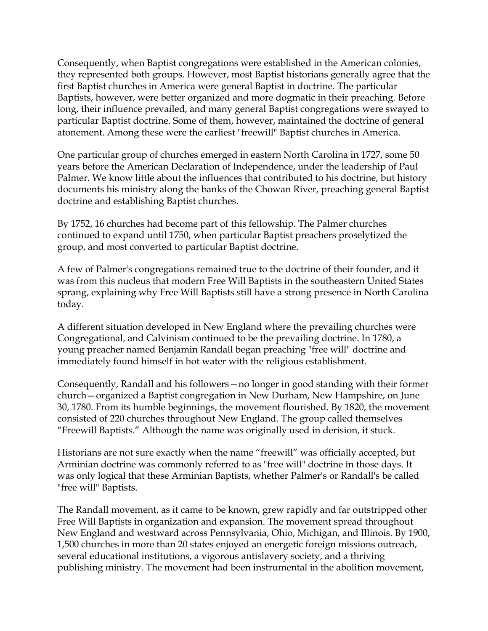Consequently, when Baptist congregations were established in the American colonies, they represented both groups. However, most Baptist historians generally agree that the first Baptist churches in America were general Baptist in doctrine. The particular Baptists, however, were better organized and more dogmatic in their preaching. Before long, their influence prevailed, and many general Baptist congregations were swayed to particular Baptist doctrine. Some of them, however, maintained the doctrine of general atonement. Among these were the earliest "freewill" Baptist churches in America.

One particular group of churches emerged in eastern North Carolina in 1727, some 50 years before the American Declaration of Independence, under the leadership of Paul Palmer. We know little about the influences that contributed to his doctrine, but history documents his ministry along the banks of the Chowan River, preaching general Baptist doctrine and establishing Baptist churches.

By 1752, 16 churches had become part of this fellowship. The Palmer churches continued to expand until 1750, when particular Baptist preachers proselytized the group, and most converted to particular Baptist doctrine.

A few of Palmer's congregations remained true to the doctrine of their founder, and it was from this nucleus that modern Free Will Baptists in the southeastern United States sprang, explaining why Free Will Baptists still have a strong presence in North Carolina today.

A different situation developed in New England where the prevailing churches were Congregational, and Calvinism continued to be the prevailing doctrine. In 1780, a young preacher named Benjamin Randall began preaching "free will" doctrine and immediately found himself in hot water with the religious establishment.

Consequently, Randall and his followers—no longer in good standing with their former church—organized a Baptist congregation in New Durham, New Hampshire, on June 30, 1780. From its humble beginnings, the movement flourished. By 1820, the movement consisted of 220 churches throughout New England. The group called themselves "Freewill Baptists." Although the name was originally used in derision, it stuck.

Historians are not sure exactly when the name "freewill" was officially accepted, but Arminian doctrine was commonly referred to as "free will" doctrine in those days. It was only logical that these Arminian Baptists, whether Palmer's or Randall's be called "free will" Baptists.

The Randall movement, as it came to be known, grew rapidly and far outstripped other Free Will Baptists in organization and expansion. The movement spread throughout New England and westward across Pennsylvania, Ohio, Michigan, and Illinois. By 1900, 1,500 churches in more than 20 states enjoyed an energetic foreign missions outreach, several educational institutions, a vigorous antislavery society, and a thriving publishing ministry. The movement had been instrumental in the abolition movement,